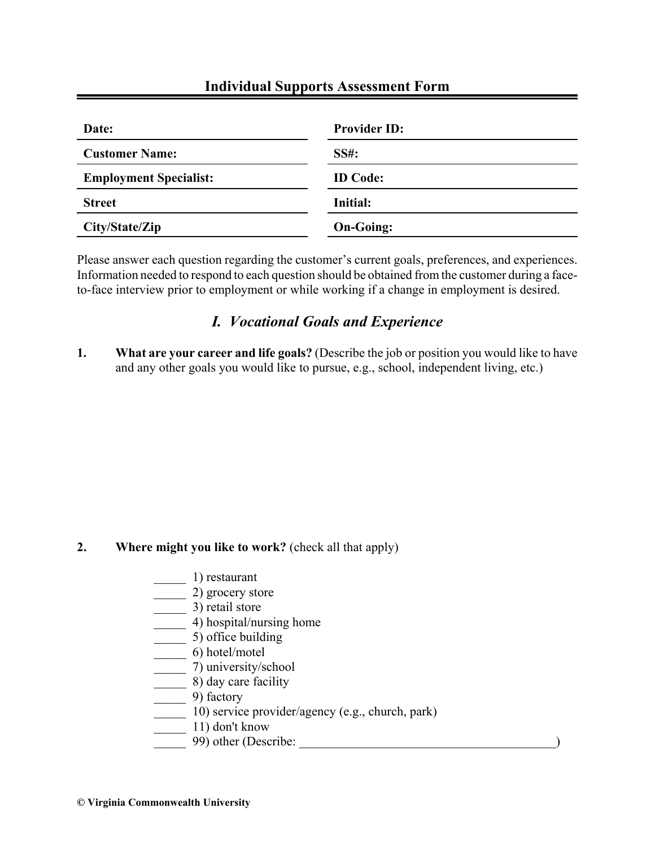# **Individual Supports Assessment Form**

| Date:                         | <b>Provider ID:</b> |
|-------------------------------|---------------------|
| <b>Customer Name:</b>         | <b>SS#:</b>         |
| <b>Employment Specialist:</b> | <b>ID</b> Code:     |
| <b>Street</b>                 | Initial:            |
| City/State/Zip                | <b>On-Going:</b>    |

Please answer each question regarding the customer's current goals, preferences, and experiences. Information needed to respond to each question should be obtained from the customer during a faceto-face interview prior to employment or while working if a change in employment is desired.

# *I. Vocational Goals and Experience*

**1. What are your career and life goals?** (Describe the job or position you would like to have and any other goals you would like to pursue, e.g., school, independent living, etc.)

# **2. Where might you like to work?** (check all that apply)

- \_\_\_\_\_ 1) restaurant
- $\frac{1}{\sqrt{2}}$  2) grocery store
- $\frac{1}{2}$  3) retail store
- \_\_\_\_\_ 4) hospital/nursing home
- $\frac{1}{\sqrt{1-\frac{1}{c^2}}}$  5) office building
- \_\_\_\_\_ 6) hotel/motel
- \_\_\_\_\_ 7) university/school
- \_\_\_\_\_ 8) day care facility
- $\frac{1}{\sqrt{2}}$  9) factory
- \_\_\_\_\_ 10) service provider/agency (e.g., church, park)
- $\frac{1}{\sqrt{1-\frac{1}{n}}}$  11) don't know
- \_\_\_\_\_ 99) other (Describe: \_\_\_\_\_\_\_\_\_\_\_\_\_\_\_\_\_\_\_\_\_\_\_\_\_\_\_\_\_\_\_\_\_\_\_\_\_\_\_\_)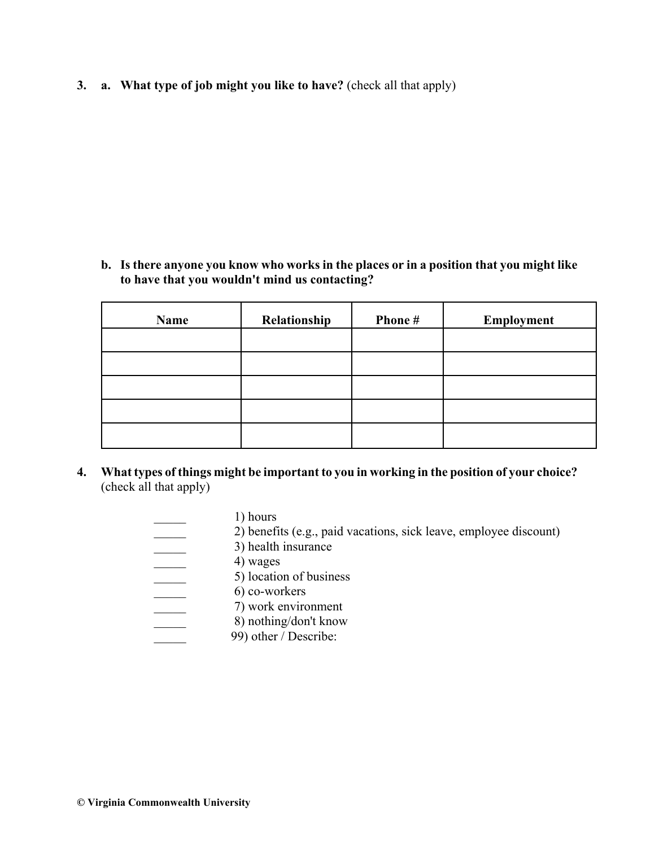**3. a. What type of job might you like to have?** (check all that apply)

**b. Is there anyone you know who works in the places or in a position that you might like to have that you wouldn't mind us contacting?**

| Name | Relationship | Phone# | Employment |
|------|--------------|--------|------------|
|      |              |        |            |
|      |              |        |            |
|      |              |        |            |
|      |              |        |            |
|      |              |        |            |

**4. What types of things might be important to you in working in the position of your choice?** (check all that apply)

| 1) hours                                                          |
|-------------------------------------------------------------------|
| 2) benefits (e.g., paid vacations, sick leave, employee discount) |
| 3) health insurance                                               |
| 4) wages                                                          |
| 5) location of business                                           |
| 6) co-workers                                                     |
| 7) work environment                                               |
| 8) nothing/don't know                                             |
| 99) other / Describe:                                             |
|                                                                   |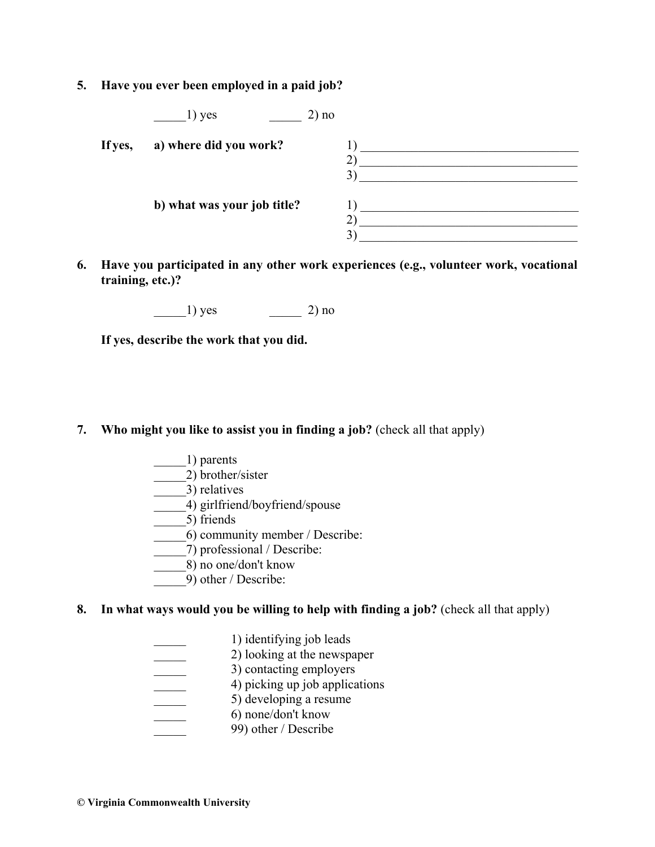**5. Have you ever been employed in a paid job?**

|         | 1) yes<br>2) no             |  |
|---------|-----------------------------|--|
| If yes, | a) where did you work?      |  |
|         |                             |  |
|         | b) what was your job title? |  |
|         |                             |  |

**6. Have you participated in any other work experiences (e.g., volunteer work, vocational training, etc.)?**

 $1)$  yes  $2)$  no

**If yes, describe the work that you did.**

### **7. Who might you like to assist you in finding a job?** (check all that apply)

- \_\_\_\_\_1) parents
- \_\_\_\_\_2) brother/sister

\_\_\_\_\_3) relatives

4) girlfriend/boyfriend/spouse

\_\_\_\_\_5) friends

\_\_\_\_\_6) community member / Describe:

- \_\_\_\_\_7) professional / Describe:
- \_\_\_\_\_8) no one/don't know
- \_\_\_\_\_9) other / Describe:

### **8. In what ways would you be willing to help with finding a job?** (check all that apply)

- \_\_\_\_\_ 1) identifying job leads **2)** looking at the newspaper <sup>3</sup>) contacting employers <sup>4</sup>) picking up job applications \_\_\_\_\_ 5) developing a resume \_\_\_\_\_ 6) none/don't know
- 99) other / Describe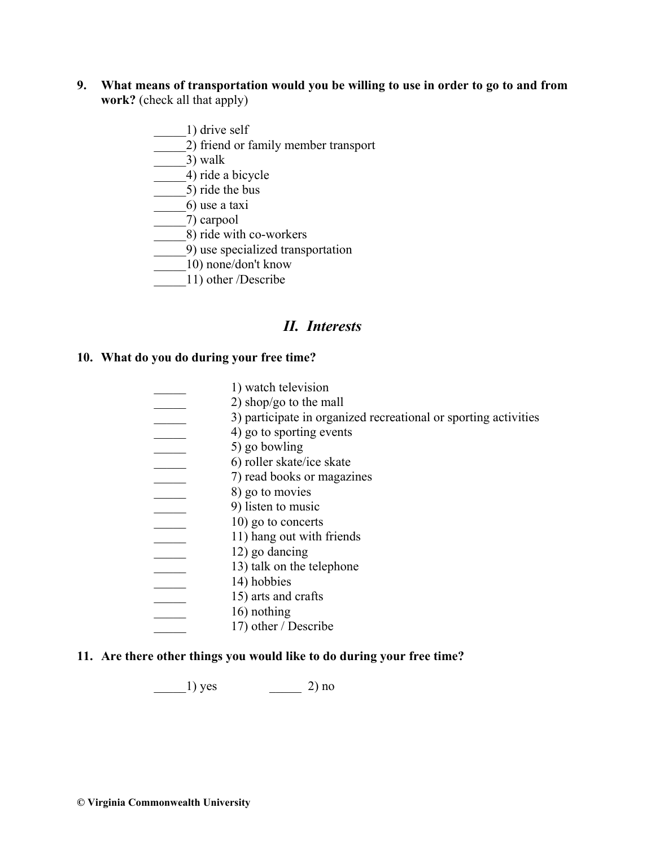- **9. What means of transportation would you be willing to use in order to go to and from work?** (check all that apply)
	- \_\_\_\_\_1) drive self \_\_\_\_\_2) friend or family member transport  $\qquad$   $\qquad$  3) walk \_\_\_\_\_4) ride a bicycle  $\frac{1}{2}$  ride the bus \_\_\_\_\_6) use a taxi
	- \_\_\_\_\_7) carpool
	- \_\_\_\_\_8) ride with co-workers
	- $\overline{(-9)}$  use specialized transportation
	- \_\_\_\_\_10) none/don't know
	- \_\_\_\_\_11) other /Describe

## *II. Interests*

#### **10. What do you do during your free time?**

\_\_\_\_\_ 1) watch television  $2)$  shop/go to the mall <sup>2</sup> 3) participate in organized recreational or sporting activities \_\_\_\_\_ 4) go to sporting events \_\_\_\_\_ 5) go bowling \_\_\_\_\_ 6) roller skate/ice skate \_\_\_\_\_ 7) read books or magazines \_\_\_\_\_ 8) go to movies example 1 and 1 9) listen to music  $\frac{10}{90}$  go to concerts \_\_\_\_\_ 11) hang out with friends  $\frac{12}{9}$  go dancing 13) talk on the telephone \_\_\_\_\_ 14) hobbies \_\_\_\_\_ 15) arts and crafts 16) nothing 17) other / Describe

#### **11. Are there other things you would like to do during your free time?**

 $\frac{1}{\sqrt{2}}$  yes  $\frac{2}{\sqrt{2}}$  no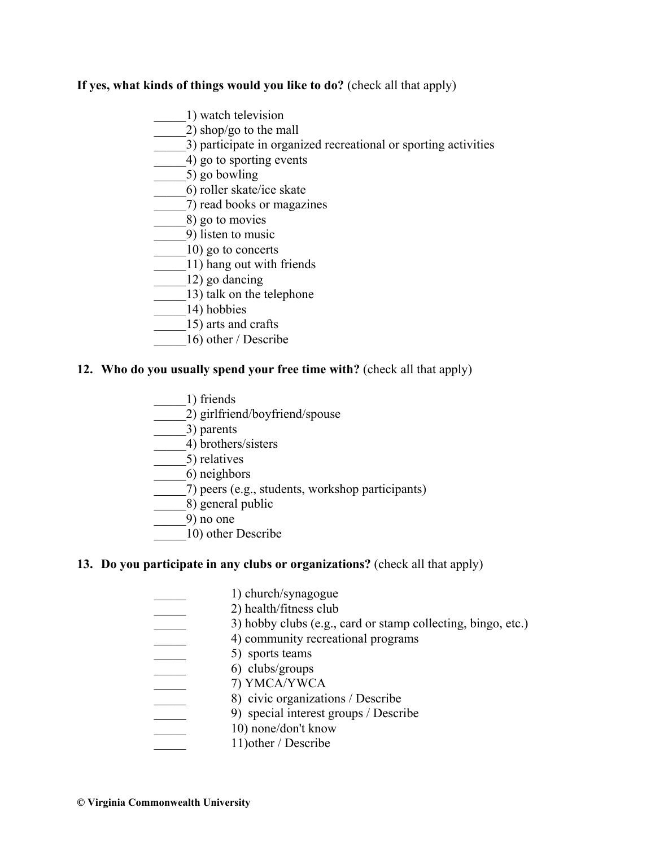# **If yes, what kinds of things would you like to do?** (check all that apply)

- \_\_\_\_\_1) watch television
- \_\_\_\_\_2) shop/go to the mall
- \_\_\_\_\_3) participate in organized recreational or sporting activities
- \_\_\_\_\_4) go to sporting events
- \_\_\_\_\_5) go bowling
- \_\_\_\_\_6) roller skate/ice skate
- \_\_\_\_\_7) read books or magazines
- \_\_\_\_\_8) go to movies
- \_\_\_\_\_9) listen to music
- \_\_\_\_\_10) go to concerts
- \_\_\_\_\_11) hang out with friends
- \_\_\_\_\_12) go dancing
- $\frac{13}{13}$  talk on the telephone
- \_\_\_\_\_14) hobbies
- \_\_\_\_\_15) arts and crafts
- \_\_\_\_\_16) other / Describe

# **12. Who do you usually spend your free time with?** (check all that apply)

- \_\_\_\_\_1) friends
- \_\_\_\_\_2) girlfriend/boyfriend/spouse
- \_\_\_\_\_3) parents
- \_\_\_\_\_4) brothers/sisters
- \_\_\_\_\_5) relatives
- \_\_\_\_\_6) neighbors
- \_\_\_\_\_7) peers (e.g., students, workshop participants)
- \_\_\_\_\_8) general public
- \_\_\_\_\_9) no one
- \_\_\_\_\_10) other Describe

# **13. Do you participate in any clubs or organizations?** (check all that apply)

| 1) church/synagogue                                          |
|--------------------------------------------------------------|
| 2) health/fitness club                                       |
| 3) hobby clubs (e.g., card or stamp collecting, bingo, etc.) |
| 4) community recreational programs                           |
| 5) sports teams                                              |
| 6) clubs/groups                                              |
| 7) YMCA/YWCA                                                 |
| 8) civic organizations / Describe                            |
| 9) special interest groups / Describe                        |
| 10) none/don't know                                          |
| 11) other / Describe                                         |
|                                                              |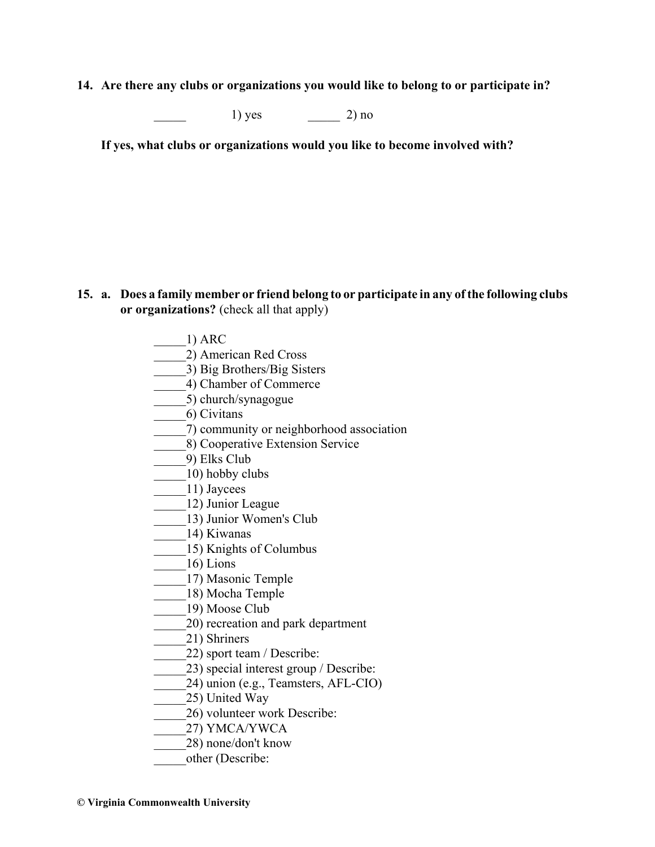**14. Are there any clubs or organizations you would like to belong to or participate in?** 

 $1)$  yes  $2)$  no

**If yes, what clubs or organizations would you like to become involved with?**

- **15. a. Does a family member or friend belong to or participate in any of the following clubs or organizations?** (check all that apply)
	- \_\_\_\_\_1) ARC
	- \_\_\_\_\_2) American Red Cross
	- \_\_\_\_\_3) Big Brothers/Big Sisters
	- \_\_\_\_\_4) Chamber of Commerce
	- \_\_\_\_\_5) church/synagogue
	- \_\_\_\_\_6) Civitans
	- \_\_\_\_\_7) community or neighborhood association
	- \_\_\_\_\_8) Cooperative Extension Service
	- \_\_\_\_\_9) Elks Club
	- \_\_\_\_\_10) hobby clubs
	- \_\_\_\_\_11) Jaycees
	- \_\_\_\_\_12) Junior League
	- \_\_\_\_\_\_13) Junior Women's Club
	- \_\_\_\_\_14) Kiwanas
	- \_\_\_\_\_15) Knights of Columbus
	- $\frac{16}{2}$  Lions
	- \_\_\_\_\_17) Masonic Temple
	- \_\_\_\_\_18) Mocha Temple
	- \_\_\_\_\_19) Moose Club
	- \_\_\_\_\_20) recreation and park department
	- \_\_\_\_\_21) Shriners
	- \_\_\_\_\_22) sport team / Describe:
	- 23) special interest group / Describe:
	- \_\_\_\_\_24) union (e.g., Teamsters, AFL-CIO)
	- \_\_\_\_\_25) United Way
	- \_\_\_\_\_26) volunteer work Describe:
	- \_\_\_\_\_27) YMCA/YWCA
	- \_\_\_\_\_28) none/don't know
	- other (Describe: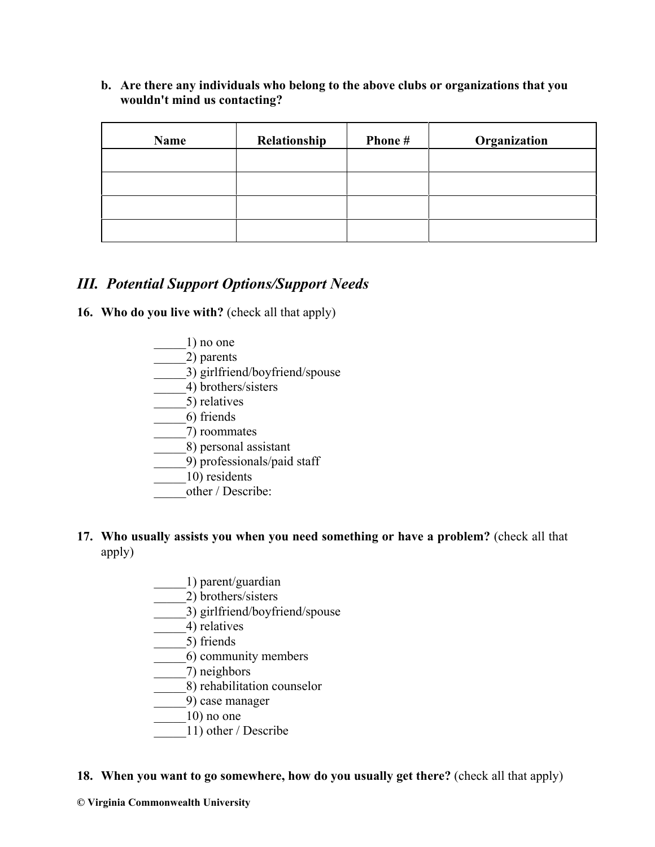**b. Are there any individuals who belong to the above clubs or organizations that you wouldn't mind us contacting?**

| <b>Name</b> | Relationship | Phone # | Organization |
|-------------|--------------|---------|--------------|
|             |              |         |              |
|             |              |         |              |
|             |              |         |              |
|             |              |         |              |

# *III. Potential Support Options/Support Needs*

**16. Who do you live with?** (check all that apply)

 $1)$  no one \_\_\_\_\_2) parents \_\_\_\_\_3) girlfriend/boyfriend/spouse \_\_\_\_\_4) brothers/sisters \_\_\_\_\_5) relatives \_\_\_\_\_6) friends \_\_\_\_\_7) roommates \_\_\_\_\_8) personal assistant \_\_\_\_\_9) professionals/paid staff \_\_\_\_\_10) residents other / Describe:

# **17. Who usually assists you when you need something or have a problem?** (check all that apply)

- \_\_\_\_\_1) parent/guardian
- \_\_\_\_\_2) brothers/sisters
- $\overline{3}$ ) girlfriend/boyfriend/spouse
- \_\_\_\_\_4) relatives
- \_\_\_\_\_5) friends
- \_\_\_\_\_6) community members
- $($ 7) neighbors
- \_\_\_\_\_8) rehabilitation counselor
- \_\_\_\_\_9) case manager
- $10$ ) no one
- \_\_\_\_\_11) other / Describe

# **18. When you want to go somewhere, how do you usually get there?** (check all that apply)